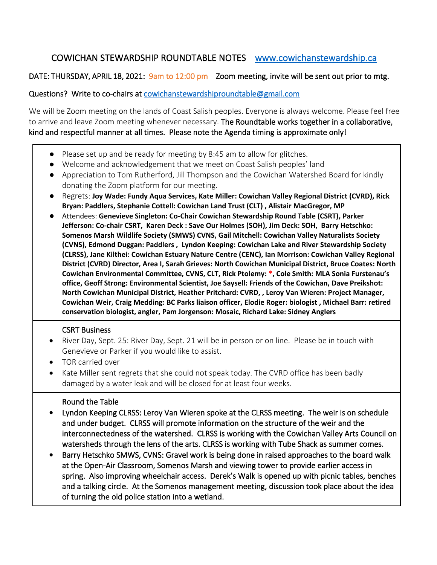# COWICHAN STEWARDSHIP ROUNDTABLE NOTES [www.cowichanstewardship.ca](http://www.cowichanstewardship.ca/)

# DATE: THURSDAY, APRIL 18, 2021: 9am to 12:00 pm Zoom meeting, invite will be sent out prior to mtg.

## Questions? Write to co-chairs at [cowichanstewardshiproundtable@gmail.com](mailto:cowichanstewardshiproundtable@gmail.com)

We will be Zoom meeting on the lands of Coast Salish peoples. Everyone is always welcome. Please feel free to arrive and leave Zoom meeting whenever necessary. The Roundtable works together in a collaborative, kind and respectful manner at all times. Please note the Agenda timing is approximate only!

- Please set up and be ready for meeting by 8:45 am to allow for glitches.
- Welcome and acknowledgement that we meet on Coast Salish peoples' land
- Appreciation to Tom Rutherford, Jill Thompson and the Cowichan Watershed Board for kindly donating the Zoom platform for our meeting.
- Regrets: **Joy Wade: Fundy Aqua Services, Kate Miller: Cowichan Valley Regional District (CVRD), Rick Bryan: Paddlers, Stephanie Cottell: Cowichan Land Trust (CLT) , Alistair MacGregor, MP**
- Attendees: **Genevieve Singleton: Co-Chair Cowichan Stewardship Round Table (CSRT), Parker Jefferson: Co-chair CSRT, Karen Deck : Save Our Holmes (SOH), Jim Deck: SOH, Barry Hetschko: Somenos Marsh Wildlife Society (SMWS) CVNS, Gail Mitchell: Cowichan Valley Naturalists Society (CVNS), Edmond Duggan: Paddlers , Lyndon Keeping: Cowichan Lake and River Stewardship Society (CLRSS), Jane Kilthei: Cowichan Estuary Nature Centre (CENC), Ian Morrison: Cowichan Valley Regional District (CVRD) Director, Area I, Sarah Grieves: North Cowichan Municipal District, Bruce Coates: North Cowichan Environmental Committee, CVNS, CLT, Rick Ptolemy: \*, Cole Smith: MLA Sonia Furstenau's office, Geoff Strong: Environmental Scientist, Joe Saysell: Friends of the Cowichan, Dave Preikshot: North Cowichan Municipal District, Heather Pritchard: CVRD, , Leroy Van Wieren: Project Manager, Cowichan Weir, Craig Medding: BC Parks liaison officer, Elodie Roger: biologist , Michael Barr: retired conservation biologist, angler, Pam Jorgenson: Mosaic, Richard Lake: Sidney Anglers**

### CSRT Business

- River Day, Sept. 25: River Day, Sept. 21 will be in person or on line. Please be in touch with Genevieve or Parker if you would like to assist.
- TOR carried over
- Kate Miller sent regrets that she could not speak today. The CVRD office has been badly damaged by a water leak and will be closed for at least four weeks.

### Round the Table

- Lyndon Keeping CLRSS: Leroy Van Wieren spoke at the CLRSS meeting. The weir is on schedule and under budget. CLRSS will promote information on the structure of the weir and the interconnectedness of the watershed. CLRSS is working with the Cowichan Valley Arts Council on watersheds through the lens of the arts. CLRSS is working with Tube Shack as summer comes.
- Barry Hetschko SMWS, CVNS: Gravel work is being done in raised approaches to the board walk at the Open-Air Classroom, Somenos Marsh and viewing tower to provide earlier access in spring. Also improving wheelchair access. Derek's Walk is opened up with picnic tables, benches and a talking circle. At the Somenos management meeting, discussion took place about the idea of turning the old police station into a wetland.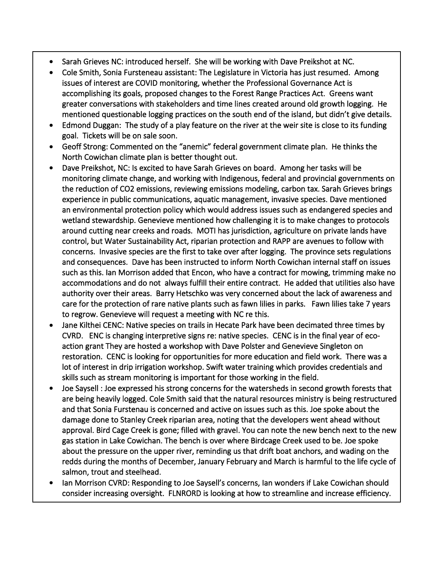- Sarah Grieves NC: introduced herself. She will be working with Dave Preikshot at NC.
- Cole Smith, Sonia Fursteneau assistant: The Legislature in Victoria has just resumed. Among issues of interest are COVID monitoring, whether the Professional Governance Act is accomplishing its goals, proposed changes to the Forest Range Practices Act. Greens want greater conversations with stakeholders and time lines created around old growth logging. He mentioned questionable logging practices on the south end of the island, but didn't give details.
- Edmond Duggan: The study of a play feature on the river at the weir site is close to its funding goal. Tickets will be on sale soon.
- Geoff Strong: Commented on the "anemic" federal government climate plan. He thinks the North Cowichan climate plan is better thought out.
- Dave Preikshot, NC: Is excited to have Sarah Grieves on board. Among her tasks will be monitoring climate change, and working with Indigenous, federal and provincial governments on the reduction of CO2 emissions, reviewing emissions modeling, carbon tax. Sarah Grieves brings experience in public communications, aquatic management, invasive species. Dave mentioned an environmental protection policy which would address issues such as endangered species and wetland stewardship. Genevieve mentioned how challenging it is to make changes to protocols around cutting near creeks and roads. MOTI has jurisdiction, agriculture on private lands have control, but Water Sustainability Act, riparian protection and RAPP are avenues to follow with concerns. Invasive species are the first to take over after logging. The province sets regulations and consequences. Dave has been instructed to inform North Cowichan internal staff on issues such as this. Ian Morrison added that Encon, who have a contract for mowing, trimming make no accommodations and do not always fulfill their entire contract. He added that utilities also have authority over their areas. Barry Hetschko was very concerned about the lack of awareness and care for the protection of rare native plants such as fawn lilies in parks. Fawn lilies take 7 years to regrow. Genevieve will request a meeting with NC re this.
- Jane Kilthei CENC: Native species on trails in Hecate Park have been decimated three times by CVRD. ENC is changing interpretive signs re: native species. CENC is in the final year of ecoaction grant They are hosted a workshop with Dave Polster and Genevieve Singleton on restoration. CENC is looking for opportunities for more education and field work. There was a lot of interest in drip irrigation workshop. Swift water training which provides credentials and skills such as stream monitoring is important for those working in the field.
- Joe Saysell : Joe expressed his strong concerns for the watersheds in second growth forests that are being heavily logged. Cole Smith said that the natural resources ministry is being restructured and that Sonia Furstenau is concerned and active on issues such as this. Joe spoke about the damage done to Stanley Creek riparian area, noting that the developers went ahead without approval. Bird Cage Creek is gone; filled with gravel. You can note the new bench next to the new gas station in Lake Cowichan. The bench is over where Birdcage Creek used to be. Joe spoke about the pressure on the upper river, reminding us that drift boat anchors, and wading on the redds during the months of December, January February and March is harmful to the life cycle of salmon, trout and steelhead.
- Ian Morrison CVRD: Responding to Joe Saysell's concerns, Ian wonders if Lake Cowichan should consider increasing oversight. FLNRORD is looking at how to streamline and increase efficiency.